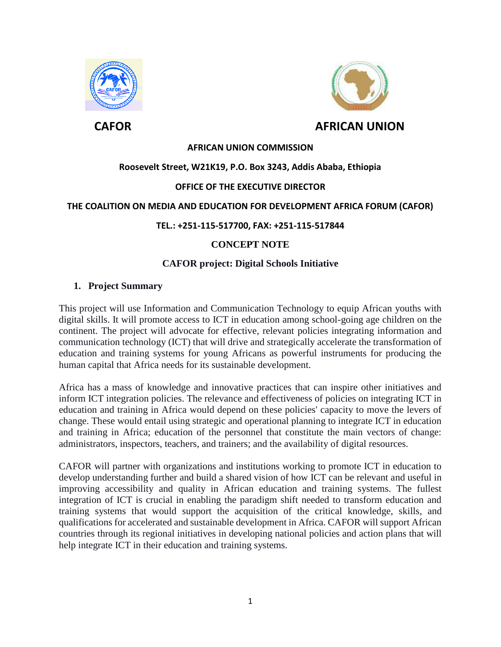



# **AFRICAN UNION COMMISSION**

# **Roosevelt Street, W21K19, P.O. Box 3243, Addis Ababa, Ethiopia**

### **OFFICE OF THE EXECUTIVE DIRECTOR**

#### **THE COALITION ON MEDIA AND EDUCATION FOR DEVELOPMENT AFRICA FORUM (CAFOR)**

#### **TEL.: +251-115-517700, FAX: +251-115-517844**

# **CONCEPT NOTE**

### **CAFOR project: Digital Schools Initiative**

#### **1. Project Summary**

This project will use Information and Communication Technology to equip African youths with digital skills. It will promote access to ICT in education among school-going age children on the continent. The project will advocate for effective, relevant policies integrating information and communication technology (ICT) that will drive and strategically accelerate the transformation of education and training systems for young Africans as powerful instruments for producing the human capital that Africa needs for its sustainable development.

Africa has a mass of knowledge and innovative practices that can inspire other initiatives and inform ICT integration policies. The relevance and effectiveness of policies on integrating ICT in education and training in Africa would depend on these policies' capacity to move the levers of change. These would entail using strategic and operational planning to integrate ICT in education and training in Africa; education of the personnel that constitute the main vectors of change: administrators, inspectors, teachers, and trainers; and the availability of digital resources.

CAFOR will partner with organizations and institutions working to promote ICT in education to develop understanding further and build a shared vision of how ICT can be relevant and useful in improving accessibility and quality in African education and training systems. The fullest integration of ICT is crucial in enabling the paradigm shift needed to transform education and training systems that would support the acquisition of the critical knowledge, skills, and qualifications for accelerated and sustainable development in Africa. CAFOR will support African countries through its regional initiatives in developing national policies and action plans that will help integrate ICT in their education and training systems.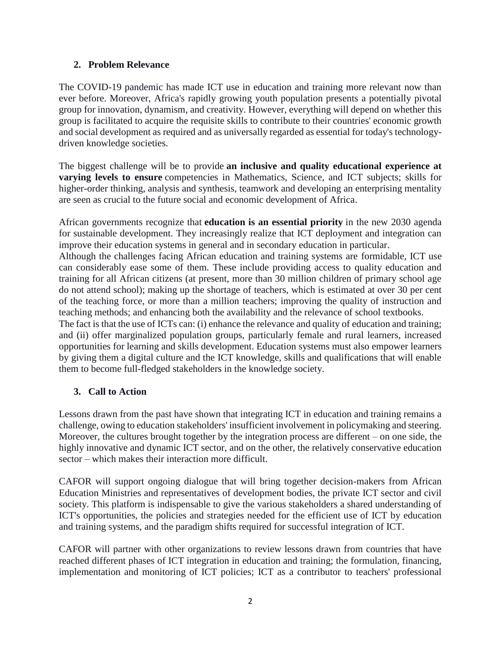## **2. Problem Relevance**

The COVID-19 pandemic has made ICT use in education and training more relevant now than ever before. Moreover, Africa's rapidly growing youth population presents a potentially pivotal group for innovation, dynamism, and creativity. However, everything will depend on whether this group is facilitated to acquire the requisite skills to contribute to their countries' economic growth and social development as required and as universally regarded as essential for today's technologydriven knowledge societies.

The biggest challenge will be to provide **an inclusive and quality educational experience at varying levels to ensure** competencies in Mathematics, Science, and ICT subjects; skills for higher-order thinking, analysis and synthesis, teamwork and developing an enterprising mentality are seen as crucial to the future social and economic development of Africa.

African governments recognize that **education is an essential priority** in the new 2030 agenda for sustainable development. They increasingly realize that ICT deployment and integration can improve their education systems in general and in secondary education in particular.

Although the challenges facing African education and training systems are formidable, ICT use can considerably ease some of them. These include providing access to quality education and training for all African citizens (at present, more than 30 million children of primary school age do not attend school); making up the shortage of teachers, which is estimated at over 30 per cent of the teaching force, or more than a million teachers; improving the quality of instruction and teaching methods; and enhancing both the availability and the relevance of school textbooks.

The fact is that the use of ICTs can: (i) enhance the relevance and quality of education and training; and (ii) offer marginalized population groups, particularly female and rural learners, increased opportunities for learning and skills development. Education systems must also empower learners by giving them a digital culture and the ICT knowledge, skills and qualifications that will enable them to become full-fledged stakeholders in the knowledge society.

# **3. Call to Action**

Lessons drawn from the past have shown that integrating ICT in education and training remains a challenge, owing to education stakeholders' insufficient involvement in policymaking and steering. Moreover, the cultures brought together by the integration process are different – on one side, the highly innovative and dynamic ICT sector, and on the other, the relatively conservative education sector – which makes their interaction more difficult.

CAFOR will support ongoing dialogue that will bring together decision-makers from African Education Ministries and representatives of development bodies, the private ICT sector and civil society. This platform is indispensable to give the various stakeholders a shared understanding of ICT's opportunities, the policies and strategies needed for the efficient use of ICT by education and training systems, and the paradigm shifts required for successful integration of ICT.

CAFOR will partner with other organizations to review lessons drawn from countries that have reached different phases of ICT integration in education and training; the formulation, financing, implementation and monitoring of ICT policies; ICT as a contributor to teachers' professional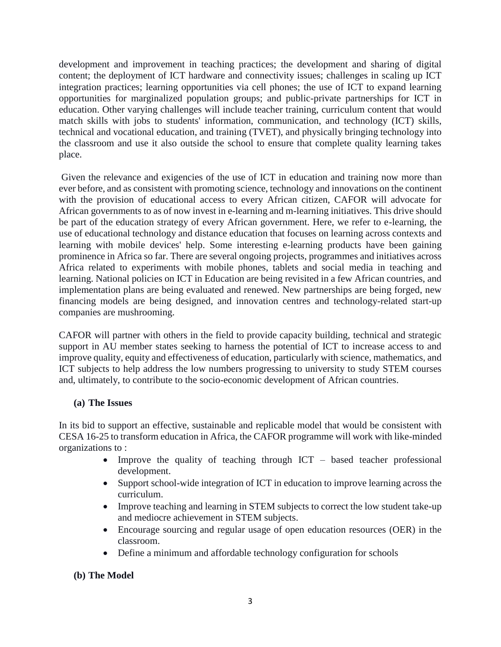development and improvement in teaching practices; the development and sharing of digital content; the deployment of ICT hardware and connectivity issues; challenges in scaling up ICT integration practices; learning opportunities via cell phones; the use of ICT to expand learning opportunities for marginalized population groups; and public-private partnerships for ICT in education. Other varying challenges will include teacher training, curriculum content that would match skills with jobs to students' information, communication, and technology (ICT) skills, technical and vocational education, and training (TVET), and physically bringing technology into the classroom and use it also outside the school to ensure that complete quality learning takes place.

Given the relevance and exigencies of the use of ICT in education and training now more than ever before, and as consistent with promoting science, technology and innovations on the continent with the provision of educational access to every African citizen, CAFOR will advocate for African governments to as of now invest in e-learning and m-learning initiatives. This drive should be part of the education strategy of every African government. Here, we refer to e-learning, the use of educational technology and distance education that focuses on learning across contexts and learning with mobile devices' help. Some interesting e-learning products have been gaining prominence in Africa so far. There are several ongoing projects, programmes and initiatives across Africa related to experiments with mobile phones, tablets and social media in teaching and learning. National policies on ICT in Education are being revisited in a few African countries, and implementation plans are being evaluated and renewed. New partnerships are being forged, new financing models are being designed, and innovation centres and technology-related start-up companies are mushrooming.

CAFOR will partner with others in the field to provide capacity building, technical and strategic support in AU member states seeking to harness the potential of ICT to increase access to and improve quality, equity and effectiveness of education, particularly with science, mathematics, and ICT subjects to help address the low numbers progressing to university to study STEM courses and, ultimately, to contribute to the socio-economic development of African countries.

# **(a) The Issues**

In its bid to support an effective, sustainable and replicable model that would be consistent with CESA 16-25 to transform education in Africa, the CAFOR programme will work with like-minded organizations to :

- Improve the quality of teaching through  $ICT based teacher professional$ development.
- Support school-wide integration of ICT in education to improve learning across the curriculum.
- Improve teaching and learning in STEM subjects to correct the low student take-up and mediocre achievement in STEM subjects.
- Encourage sourcing and regular usage of open education resources (OER) in the classroom.
- Define a minimum and affordable technology configuration for schools

# **(b) The Model**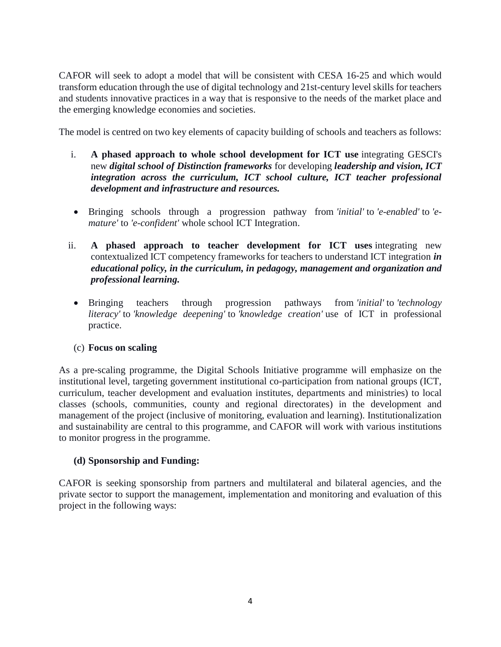CAFOR will seek to adopt a model that will be consistent with CESA 16-25 and which would transform education through the use of digital technology and 21st-century level skills for teachers and students innovative practices in a way that is responsive to the needs of the market place and the emerging knowledge economies and societies.

The model is centred on two key elements of capacity building of schools and teachers as follows:

- i. **A phased approach to whole school development for ICT use** integrating GESCI's new *digital school of Distinction frameworks* for developing *leadership and vision, ICT integration across the curriculum, ICT school culture, ICT teacher professional development and infrastructure and resources.*
- Bringing schools through a progression pathway from *'initial'* to *'e-enabled'* to *'emature'* to *'e-confident'* whole school ICT Integration.
- ii. **A phased approach to teacher development for ICT uses** integrating new contextualized ICT competency frameworks for teachers to understand ICT integration *in educational policy, in the curriculum, in pedagogy, management and organization and professional learning.*
	- Bringing teachers through progression pathways from *'initial'* to *'technology literacy'* to *'knowledge deepening'* to *'knowledge creation'* use of ICT in professional practice.

# (c) **Focus on scaling**

As a pre-scaling programme, the Digital Schools Initiative programme will emphasize on the institutional level, targeting government institutional co-participation from national groups (ICT, curriculum, teacher development and evaluation institutes, departments and ministries) to local classes (schools, communities, county and regional directorates) in the development and management of the project (inclusive of monitoring, evaluation and learning). Institutionalization and sustainability are central to this programme, and CAFOR will work with various institutions to monitor progress in the programme.

# **(d) Sponsorship and Funding:**

CAFOR is seeking sponsorship from partners and multilateral and bilateral agencies, and the private sector to support the management, implementation and monitoring and evaluation of this project in the following ways: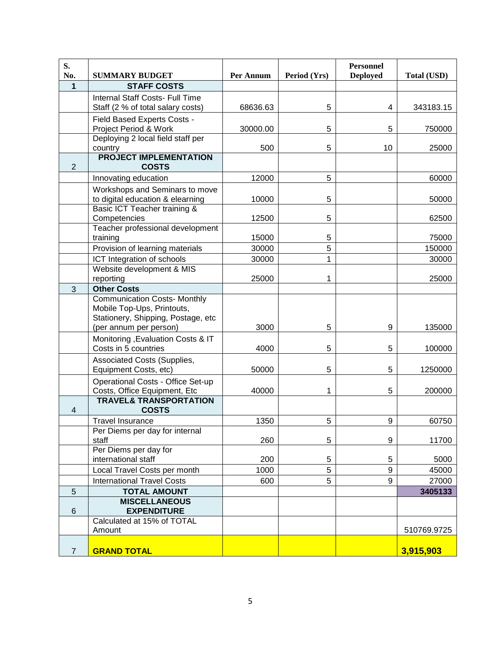| S.<br>No.       | <b>SUMMARY BUDGET</b>                                             | Per Annum | Period (Yrs) | <b>Personnel</b><br><b>Deployed</b> | <b>Total (USD)</b> |
|-----------------|-------------------------------------------------------------------|-----------|--------------|-------------------------------------|--------------------|
| 1               | <b>STAFF COSTS</b>                                                |           |              |                                     |                    |
|                 | Internal Staff Costs- Full Time                                   |           |              |                                     |                    |
|                 | Staff (2 % of total salary costs)                                 | 68636.63  | 5            | 4                                   | 343183.15          |
|                 | Field Based Experts Costs -                                       |           |              |                                     |                    |
|                 | Project Period & Work                                             | 30000.00  | 5            | 5                                   | 750000             |
|                 | Deploying 2 local field staff per                                 |           |              |                                     |                    |
|                 | country                                                           | 500       | 5            | 10                                  | 25000              |
| $\overline{2}$  | <b>PROJECT IMPLEMENTATION</b><br><b>COSTS</b>                     |           |              |                                     |                    |
|                 | Innovating education                                              | 12000     | 5            |                                     | 60000              |
|                 | Workshops and Seminars to move                                    |           |              |                                     |                    |
|                 | to digital education & elearning                                  | 10000     | 5            |                                     | 50000              |
|                 | Basic ICT Teacher training &                                      |           |              |                                     |                    |
|                 | Competencies                                                      | 12500     | 5            |                                     | 62500              |
|                 | Teacher professional development                                  |           |              |                                     |                    |
|                 | training                                                          | 15000     | 5            |                                     | 75000              |
|                 | Provision of learning materials                                   | 30000     | 5            |                                     | 150000             |
|                 | ICT Integration of schools                                        | 30000     | 1            |                                     | 30000              |
|                 | Website development & MIS                                         |           | 1            |                                     |                    |
| $\mathbf{3}$    | reporting<br><b>Other Costs</b>                                   | 25000     |              |                                     | 25000              |
|                 | <b>Communication Costs- Monthly</b>                               |           |              |                                     |                    |
|                 | Mobile Top-Ups, Printouts,<br>Stationery, Shipping, Postage, etc  |           |              |                                     |                    |
|                 | (per annum per person)                                            | 3000      | 5            | 9                                   | 135000             |
|                 | Monitoring , Evaluation Costs & IT<br>Costs in 5 countries        | 4000      | 5            | 5                                   | 100000             |
|                 | Associated Costs (Supplies,<br>Equipment Costs, etc)              | 50000     | 5            | 5                                   | 1250000            |
|                 | Operational Costs - Office Set-up<br>Costs, Office Equipment, Etc | 40000     | 1            | 5                                   | 200000             |
|                 | <b>TRAVEL&amp; TRANSPORTATION</b>                                 |           |              |                                     |                    |
| $\overline{4}$  | <b>COSTS</b>                                                      |           |              |                                     |                    |
|                 | <b>Travel Insurance</b>                                           | 1350      | 5            | 9                                   | 60750              |
|                 | Per Diems per day for internal                                    |           |              |                                     |                    |
|                 | staff                                                             | 260       | 5            | 9                                   | 11700              |
|                 | Per Diems per day for                                             |           |              |                                     |                    |
|                 | international staff                                               | 200       | 5            | 5                                   | 5000               |
|                 | Local Travel Costs per month                                      | 1000      | 5            | 9                                   | 45000              |
|                 | <b>International Travel Costs</b>                                 | 600       | 5            | 9                                   | 27000              |
| 5               | <b>TOTAL AMOUNT</b><br><b>MISCELLANEOUS</b>                       |           |              |                                     | 3405133            |
| $6\phantom{1}6$ | <b>EXPENDITURE</b>                                                |           |              |                                     |                    |
|                 | Calculated at 15% of TOTAL                                        |           |              |                                     |                    |
|                 | Amount                                                            |           |              |                                     | 510769.9725        |
| $\overline{7}$  | <b>GRAND TOTAL</b>                                                |           |              |                                     | 3,915,903          |